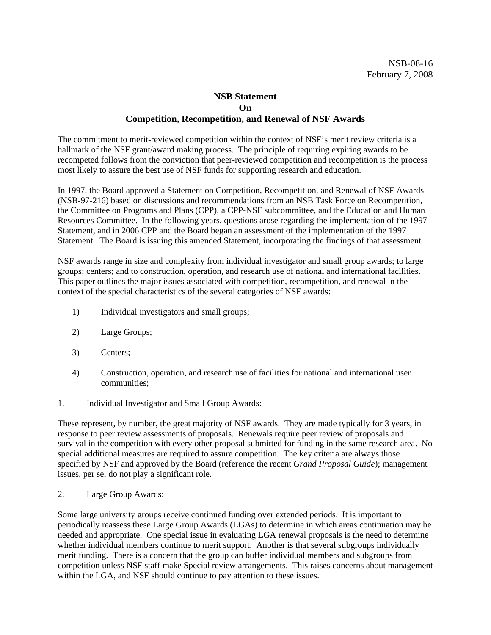# **NSB Statement On Competition, Recompetition, and Renewal of NSF Awards**

The commitment to merit-reviewed competition within the context of NSF's merit review criteria is a hallmark of the NSF grant/award making process. The principle of requiring expiring awards to be recompeted follows from the conviction that peer-reviewed competition and recompetition is the process most likely to assure the best use of NSF funds for supporting research and education.

In 1997, the Board approved a Statement on Competition, Recompetition, and Renewal of NSF Awards (NSB-97-216) based on discussions and recommendations from an NSB Task Force on Recompetition, the Committee on Programs and Plans (CPP), a CPP-NSF subcommittee, and the Education and Human Resources Committee. In the following years, questions arose regarding the implementation of the 1997 Statement, and in 2006 CPP and the Board began an assessment of the implementation of the 1997 Statement. The Board is issuing this amended Statement, incorporating the findings of that assessment.

NSF awards range in size and complexity from individual investigator and small group awards; to large groups; centers; and to construction, operation, and research use of national and international facilities. This paper outlines the major issues associated with competition, recompetition, and renewal in the context of the special characteristics of the several categories of NSF awards:

- 1) Individual investigators and small groups;
- 2) Large Groups;
- 3) Centers;
- 4) Construction, operation, and research use of facilities for national and international user communities;
- 1. Individual Investigator and Small Group Awards:

These represent, by number, the great majority of NSF awards. They are made typically for 3 years, in response to peer review assessments of proposals. Renewals require peer review of proposals and survival in the competition with every other proposal submitted for funding in the same research area. No special additional measures are required to assure competition. The key criteria are always those specified by NSF and approved by the Board (reference the recent *Grand Proposal Guide*); management issues, per se, do not play a significant role.

2. Large Group Awards:

Some large university groups receive continued funding over extended periods. It is important to periodically reassess these Large Group Awards (LGAs) to determine in which areas continuation may be needed and appropriate. One special issue in evaluating LGA renewal proposals is the need to determine whether individual members continue to merit support. Another is that several subgroups individually merit funding. There is a concern that the group can buffer individual members and subgroups from competition unless NSF staff make Special review arrangements. This raises concerns about management within the LGA, and NSF should continue to pay attention to these issues.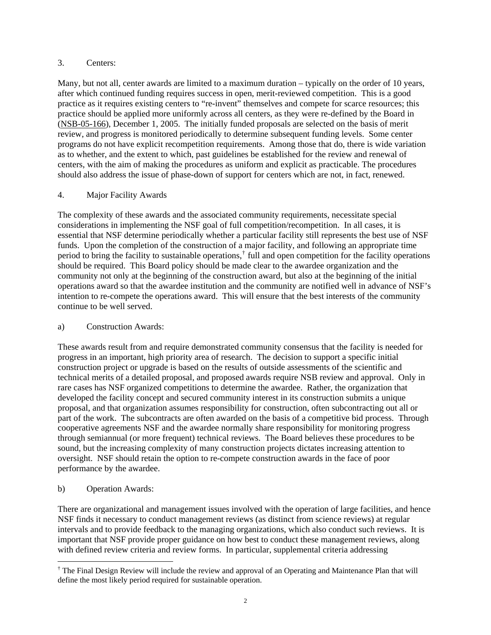### 3. Centers:

Many, but not all, center awards are limited to a maximum duration – typically on the order of 10 years, after which continued funding requires success in open, merit-reviewed competition. This is a good practice as it requires existing centers to "re-invent" themselves and compete for scarce resources; this practice should be applied more uniformly across all centers, as they were re-defined by the Board in (NSB-05-166), December 1, 2005.The initially funded proposals are selected on the basis of merit review, and progress is monitored periodically to determine subsequent funding levels. Some center programs do not have explicit recompetition requirements. Among those that do, there is wide variation as to whether, and the extent to which, past guidelines be established for the review and renewal of centers, with the aim of making the procedures as uniform and explicit as practicable. The procedures should also address the issue of phase-down of support for centers which are not, in fact, renewed.

## 4. Major Facility Awards

The complexity of these awards and the associated community requirements, necessitate special considerations in implementing the NSF goal of full competition/recompetition. In all cases, it is essential that NSF determine periodically whether a particular facility still represents the best use of NSF funds. Upon the completion of the construction of a major facility, and following an appropriate time period to bring the facility to sustainable operations,<sup>[†](#page-1-0)</sup> full and open competition for the facility operations should be required. This Board policy should be made clear to the awardee organization and the community not only at the beginning of the construction award, but also at the beginning of the initial operations award so that the awardee institution and the community are notified well in advance of NSF's intention to re-compete the operations award. This will ensure that the best interests of the community continue to be well served.

## a) Construction Awards:

These awards result from and require demonstrated community consensus that the facility is needed for progress in an important, high priority area of research. The decision to support a specific initial construction project or upgrade is based on the results of outside assessments of the scientific and technical merits of a detailed proposal, and proposed awards require NSB review and approval. Only in rare cases has NSF organized competitions to determine the awardee. Rather, the organization that developed the facility concept and secured community interest in its construction submits a unique proposal, and that organization assumes responsibility for construction, often subcontracting out all or part of the work. The subcontracts are often awarded on the basis of a competitive bid process. Through cooperative agreements NSF and the awardee normally share responsibility for monitoring progress through semiannual (or more frequent) technical reviews. The Board believes these procedures to be sound, but the increasing complexity of many construction projects dictates increasing attention to oversight. NSF should retain the option to re-compete construction awards in the face of poor performance by the awardee.

b) Operation Awards:

 $\overline{a}$ 

There are organizational and management issues involved with the operation of large facilities, and hence NSF finds it necessary to conduct management reviews (as distinct from science reviews) at regular intervals and to provide feedback to the managing organizations, which also conduct such reviews. It is important that NSF provide proper guidance on how best to conduct these management reviews, along with defined review criteria and review forms. In particular, supplemental criteria addressing

<span id="page-1-0"></span><sup>&</sup>lt;sup>†</sup> The Final Design Review will include the review and approval of an Operating and Maintenance Plan that will define the most likely period required for sustainable operation.